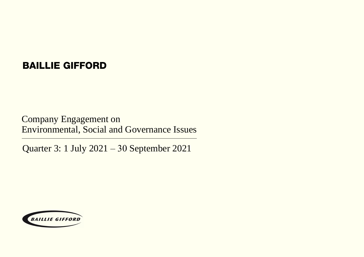### BAILLIE GIFFORD

Company Engagement on Environmental, Social and Governance Issues

Quarter 3: 1 July 2021 – 30 September 2021

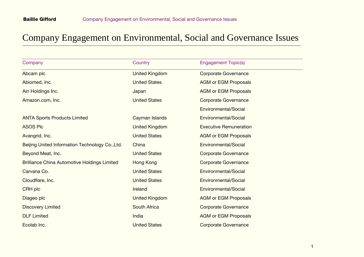| Company                                             | Country               | <b>Engagement Topic(s)</b>    |
|-----------------------------------------------------|-----------------------|-------------------------------|
| Abcam plc                                           | <b>United Kingdom</b> | <b>Corporate Governance</b>   |
| Abiomed, Inc.                                       | <b>United States</b>  | <b>AGM or EGM Proposals</b>   |
| Ain Holdings Inc.                                   | Japan                 | <b>AGM or EGM Proposals</b>   |
| Amazon.com, Inc.                                    | <b>United States</b>  | <b>Corporate Governance</b>   |
|                                                     |                       | Environmental/Social          |
| <b>ANTA Sports Products Limited</b>                 | Cayman Islands        | Environmental/Social          |
| <b>ASOS Plc</b>                                     | <b>United Kingdom</b> | <b>Executive Remuneration</b> |
| Avangrid, Inc.                                      | <b>United States</b>  | <b>AGM or EGM Proposals</b>   |
| Beijing United Information Technology Co., Ltd.     | China                 | Environmental/Social          |
| Beyond Meat, Inc.                                   | <b>United States</b>  | <b>Corporate Governance</b>   |
| <b>Brilliance China Automotive Holdings Limited</b> | Hong Kong             | <b>Corporate Governance</b>   |
| Carvana Co.                                         | <b>United States</b>  | Environmental/Social          |
| Cloudflare, Inc.                                    | <b>United States</b>  | Environmental/Social          |
| <b>CRH plc</b>                                      | Ireland               | Environmental/Social          |
| Diageo plc                                          | <b>United Kingdom</b> | <b>AGM or EGM Proposals</b>   |
| <b>Discovery Limited</b>                            | South Africa          | <b>Corporate Governance</b>   |
| <b>DLF Limited</b>                                  | India                 | <b>AGM or EGM Proposals</b>   |
| Ecolab Inc.                                         | <b>United States</b>  | <b>Corporate Governance</b>   |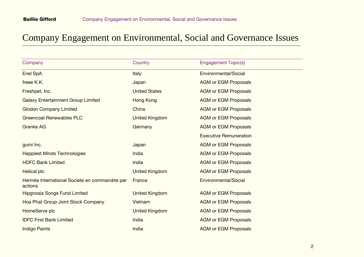| Company                                                   | Country               | <b>Engagement Topic(s)</b>    |
|-----------------------------------------------------------|-----------------------|-------------------------------|
| Enel SpA                                                  | <b>Italy</b>          | Environmental/Social          |
| freee K.K.                                                | Japan                 | <b>AGM or EGM Proposals</b>   |
| Freshpet, Inc.                                            | <b>United States</b>  | <b>AGM or EGM Proposals</b>   |
| <b>Galaxy Entertainment Group Limited</b>                 | <b>Hong Kong</b>      | <b>AGM or EGM Proposals</b>   |
| <b>Glodon Company Limited</b>                             | China                 | <b>AGM or EGM Proposals</b>   |
| <b>Greencoat Renewables PLC</b>                           | <b>United Kingdom</b> | <b>AGM or EGM Proposals</b>   |
| <b>Grenke AG</b>                                          | Germany               | <b>AGM or EGM Proposals</b>   |
|                                                           |                       | <b>Executive Remuneration</b> |
| gumi Inc.                                                 | Japan                 | <b>AGM or EGM Proposals</b>   |
| <b>Happiest Minds Technologies</b>                        | India                 | <b>AGM or EGM Proposals</b>   |
| <b>HDFC Bank Limited</b>                                  | India                 | <b>AGM or EGM Proposals</b>   |
| Helical plc                                               | United Kingdom        | <b>AGM or EGM Proposals</b>   |
| Hermès International Societe en commandite par<br>actions | France                | Environmental/Social          |
| <b>Hipgnosis Songs Fund Limited</b>                       | <b>United Kingdom</b> | <b>AGM or EGM Proposals</b>   |
| Hoa Phat Group Joint Stock Company                        | Vietnam               | <b>AGM or EGM Proposals</b>   |
| HomeServe plc                                             | <b>United Kingdom</b> | <b>AGM or EGM Proposals</b>   |
| <b>IDFC First Bank Limited</b>                            | India                 | <b>AGM or EGM Proposals</b>   |
| <b>Indigo Paints</b>                                      | India                 | <b>AGM or EGM Proposals</b>   |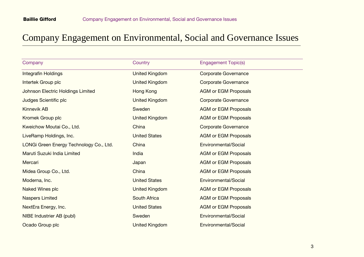| Company                                 | Country               | <b>Engagement Topic(s)</b>  |  |
|-----------------------------------------|-----------------------|-----------------------------|--|
| Integrafin Holdings                     | <b>United Kingdom</b> | <b>Corporate Governance</b> |  |
| Intertek Group plc                      | United Kingdom        | <b>Corporate Governance</b> |  |
| Johnson Electric Holdings Limited       | Hong Kong             | <b>AGM or EGM Proposals</b> |  |
| Judges Scientific plc                   | <b>United Kingdom</b> | <b>Corporate Governance</b> |  |
| <b>Kinnevik AB</b>                      | Sweden                | <b>AGM or EGM Proposals</b> |  |
| Kromek Group plc                        | <b>United Kingdom</b> | <b>AGM or EGM Proposals</b> |  |
| Kweichow Moutai Co., Ltd.               | China                 | <b>Corporate Governance</b> |  |
| LiveRamp Holdings, Inc.                 | <b>United States</b>  | <b>AGM or EGM Proposals</b> |  |
| LONGi Green Energy Technology Co., Ltd. | China                 | Environmental/Social        |  |
| Maruti Suzuki India Limited             | India                 | <b>AGM or EGM Proposals</b> |  |
| Mercari                                 | Japan                 | <b>AGM or EGM Proposals</b> |  |
| Midea Group Co., Ltd.                   | China                 | <b>AGM or EGM Proposals</b> |  |
| Moderna, Inc.                           | <b>United States</b>  | Environmental/Social        |  |
| Naked Wines plc                         | United Kingdom        | <b>AGM or EGM Proposals</b> |  |
| <b>Naspers Limited</b>                  | <b>South Africa</b>   | <b>AGM or EGM Proposals</b> |  |
| NextEra Energy, Inc.                    | <b>United States</b>  | <b>AGM or EGM Proposals</b> |  |
| NIBE Industrier AB (publ)               | Sweden                | Environmental/Social        |  |
| Ocado Group plc                         | <b>United Kingdom</b> | Environmental/Social        |  |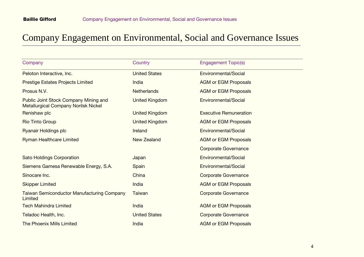| Company                                                                              | Country               | <b>Engagement Topic(s)</b>    |
|--------------------------------------------------------------------------------------|-----------------------|-------------------------------|
| Peloton Interactive, Inc.                                                            | <b>United States</b>  | Environmental/Social          |
| Prestige Estates Projects Limited                                                    | India                 | <b>AGM or EGM Proposals</b>   |
| Prosus N.V.                                                                          | <b>Netherlands</b>    | <b>AGM or EGM Proposals</b>   |
| Public Joint Stock Company Mining and<br><b>Metallurgical Company Norilsk Nickel</b> | <b>United Kingdom</b> | Environmental/Social          |
| Renishaw plc                                                                         | <b>United Kingdom</b> | <b>Executive Remuneration</b> |
| Rio Tinto Group                                                                      | <b>United Kingdom</b> | <b>AGM or EGM Proposals</b>   |
| <b>Ryanair Holdings plc</b>                                                          | Ireland               | Environmental/Social          |
| <b>Ryman Healthcare Limited</b>                                                      | New Zealand           | <b>AGM or EGM Proposals</b>   |
|                                                                                      |                       | <b>Corporate Governance</b>   |
| <b>Sato Holdings Corporation</b>                                                     | Japan                 | Environmental/Social          |
| Siemens Gamesa Renewable Energy, S.A.                                                | Spain                 | Environmental/Social          |
| Sinocare Inc.                                                                        | China                 | <b>Corporate Governance</b>   |
| <b>Skipper Limited</b>                                                               | India                 | <b>AGM or EGM Proposals</b>   |
| <b>Taiwan Semiconductor Manufacturing Company</b><br>Limited                         | Taiwan                | <b>Corporate Governance</b>   |
| <b>Tech Mahindra Limited</b>                                                         | India                 | <b>AGM or EGM Proposals</b>   |
| Teladoc Health, Inc.                                                                 | <b>United States</b>  | <b>Corporate Governance</b>   |
| <b>The Phoenix Mills Limited</b>                                                     | India                 | <b>AGM or EGM Proposals</b>   |